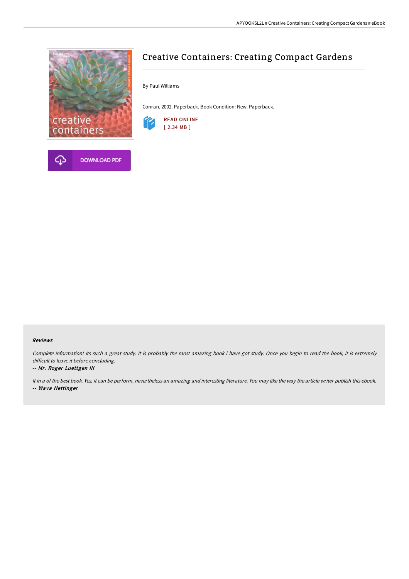



# Creative Containers: Creating Compact Gardens

By Paul Williams

Conran, 2002. Paperback. Book Condition: New. Paperback.



#### Reviews

Complete information! Its such <sup>a</sup> great study. It is probably the most amazing book i have got study. Once you begin to read the book, it is extremely difficult to leave it before concluding.

#### -- Mr. Roger Luettgen III

It in <sup>a</sup> of the best book. Yes, it can be perform, nevertheless an amazing and interesting literature. You may like the way the article writer publish this ebook. -- Wava Hettinger